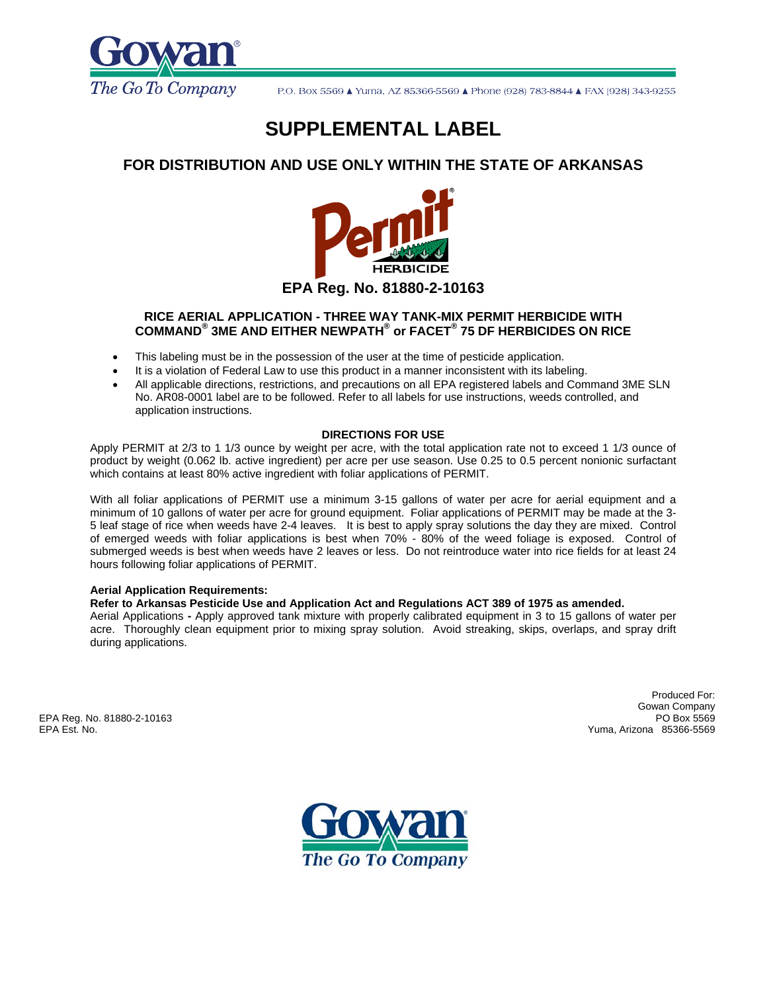

# **SUPPLEMENTAL LABEL**

## **FOR DISTRIBUTION AND USE ONLY WITHIN THE STATE OF ARKANSAS**



## **RICE AERIAL APPLICATION - THREE WAY TANK-MIX PERMIT HERBICIDE WITH COMMAND® 3ME AND EITHER NEWPATH® or FACET® 75 DF HERBICIDES ON RICE**

- This labeling must be in the possession of the user at the time of pesticide application.
- It is a violation of Federal Law to use this product in a manner inconsistent with its labeling.
- All applicable directions, restrictions, and precautions on all EPA registered labels and Command 3ME SLN No. AR08-0001 label are to be followed. Refer to all labels for use instructions, weeds controlled, and application instructions.

#### **DIRECTIONS FOR USE**

Apply PERMIT at 2/3 to 1 1/3 ounce by weight per acre, with the total application rate not to exceed 1 1/3 ounce of product by weight (0.062 lb. active ingredient) per acre per use season. Use 0.25 to 0.5 percent nonionic surfactant which contains at least 80% active ingredient with foliar applications of PERMIT.

With all foliar applications of PERMIT use a minimum 3-15 gallons of water per acre for aerial equipment and a minimum of 10 gallons of water per acre for ground equipment. Foliar applications of PERMIT may be made at the 3- 5 leaf stage of rice when weeds have 2-4 leaves. It is best to apply spray solutions the day they are mixed. Control of emerged weeds with foliar applications is best when 70% - 80% of the weed foliage is exposed. Control of submerged weeds is best when weeds have 2 leaves or less. Do not reintroduce water into rice fields for at least 24 hours following foliar applications of PERMIT.

### **Aerial Application Requirements:**

### **Refer to Arkansas Pesticide Use and Application Act and Regulations ACT 389 of 1975 as amended.**

Aerial Applications **-** Apply approved tank mixture with properly calibrated equipment in 3 to 15 gallons of water per acre. Thoroughly clean equipment prior to mixing spray solution. Avoid streaking, skips, overlaps, and spray drift during applications.

EPA Reg. No. 81880-2-10163 EPA Est. No. Yuma, Arizona 85366-5569

Produced For: Gowan Company<br>PO Box 5569